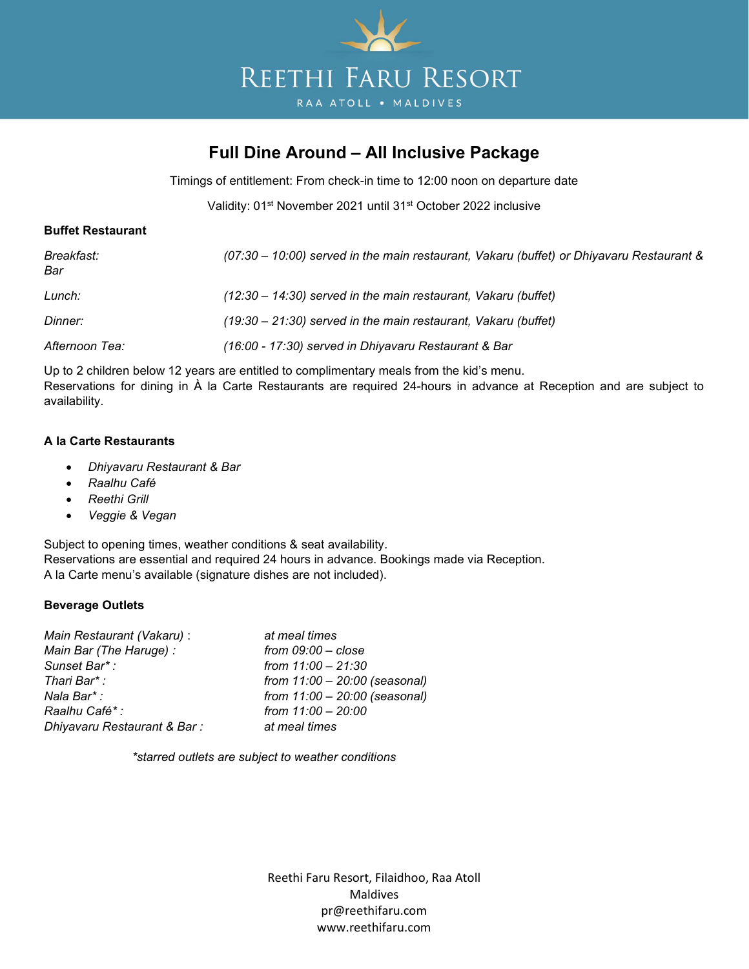

# Full Dine Around – All Inclusive Package

Timings of entitlement: From check-in time to 12:00 noon on departure date

Validity: 01<sup>st</sup> November 2021 until 31<sup>st</sup> October 2022 inclusive

## Buffet Restaurant

| Breakfast:<br>Bar | (07:30 – 10:00) served in the main restaurant, Vakaru (buffet) or Dhiyavaru Restaurant & |
|-------------------|------------------------------------------------------------------------------------------|
| Lunch:            | $(12:30 - 14:30)$ served in the main restaurant, Vakaru (buffet)                         |
| <b>Dinner:</b>    | $(19:30 - 21:30)$ served in the main restaurant, Vakaru (buffet)                         |
| Afternoon Tea:    | (16:00 - 17:30) served in Dhiyavaru Restaurant & Bar                                     |

Up to 2 children below 12 years are entitled to complimentary meals from the kid's menu. Reservations for dining in À la Carte Restaurants are required 24-hours in advance at Reception and are subject to availability.

### A la Carte Restaurants

- Dhiyavaru Restaurant & Bar
- Raalhu Café
- Reethi Grill
- Veggie & Vegan

Subject to opening times, weather conditions & seat availability. Reservations are essential and required 24 hours in advance. Bookings made via Reception. A la Carte menu's available (signature dishes are not included).

# Beverage Outlets

| Main Restaurant (Vakaru) :  | at meal times                   |
|-----------------------------|---------------------------------|
| Main Bar (The Haruge) :     | from $09:00 - close$            |
| Sunset Bar*:                | from $11:00 - 21:30$            |
| Thari Bar*:                 | from $11:00 - 20:00$ (seasonal) |
| Nala Bar* :                 | from $11:00 - 20:00$ (seasonal) |
| Raalhu Café*:               | from 11:00 - 20:00              |
| Dhiyavaru Restaurant & Bar: | at meal times                   |

\*starred outlets are subject to weather conditions

Reethi Faru Resort, Filaidhoo, Raa Atoll Maldives pr@reethifaru.com www.reethifaru.com